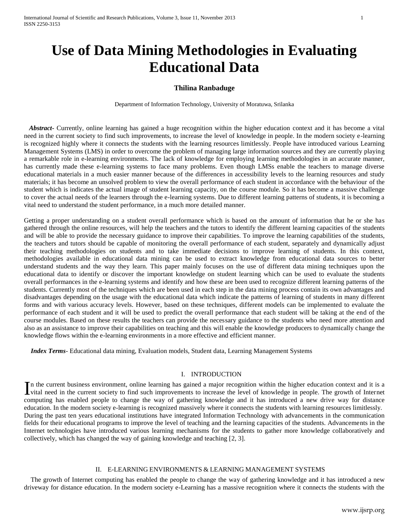# **Use of Data Mining Methodologies in Evaluating Educational Data**

# **Thilina Ranbaduge**

Department of Information Technology, University of Moratuwa, Srilanka

 *Abstract***-** Currently, online learning has gained a huge recognition within the higher education context and it has become a vital need in the current society to find such improvements, to increase the level of knowledge in people. In the modern society e-learning is recognized highly where it connects the students with the learning resources limitlessly. People have introduced various Learning Management Systems (LMS) in order to overcome the problem of managing large information sources and they are currently playing a remarkable role in e-learning environments. The lack of knowledge for employing learning methodologies in an accurate manner, has currently made these e-learning systems to face many problems. Even though LMSs enable the teachers to manage diverse educational materials in a much easier manner because of the differences in accessibility levels to the learning resources and study materials; it has become an unsolved problem to view the overall performance of each student in accordance with the behaviour of the student which is indicates the actual image of student learning capacity, on the course module. So it has become a massive challenge to cover the actual needs of the learners through the e-learning systems. Due to different learning patterns of students, it is becoming a vital need to understand the student performance, in a much more detailed manner.

Getting a proper understanding on a student overall performance which is based on the amount of information that he or she has gathered through the online resources, will help the teachers and the tutors to identify the different learning capacities of the students and will be able to provide the necessary guidance to improve their capabilities. To improve the learning capabilities of the students, the teachers and tutors should be capable of monitoring the overall performance of each student, separately and dynamically adjust their teaching methodologies on students and to take immediate decisions to improve learning of students. In this context, methodologies available in educational data mining can be used to extract knowledge from educational data sources to better understand students and the way they learn. This paper mainly focuses on the use of different data mining techniques upon the educational data to identify or discover the important knowledge on student learning which can be used to evaluate the students overall performances in the e-learning systems and identify and how these are been used to recognize different learning patterns of the students. Currently most of the techniques which are been used in each step in the data mining process contain its own advantages and disadvantages depending on the usage with the educational data which indicate the patterns of learning of students in many different forms and with various accuracy levels. However, based on these techniques, different models can be implemented to evaluate the performance of each student and it will be used to predict the overall performance that each student will be taking at the end of the course modules. Based on these results the teachers can provide the necessary guidance to the students who need more attention and also as an assistance to improve their capabilities on teaching and this will enable the knowledge producers to dynamically change the knowledge flows within the e-learning environments in a more effective and efficient manner.

 *Index Terms*- Educational data mining, Evaluation models, Student data, Learning Management Systems

# I. INTRODUCTION

n the current business environment, online learning has gained a major recognition within the higher education context and it is a In the current business environment, online learning has gained a major recognition within the higher education context and it is a vital need in the current society to find such improvements to increase the level of knowl computing has enabled people to change the way of gathering knowledge and it has introduced a new drive way for distance education. In the modern society e-learning is recognized massively where it connects the students with learning resources limitlessly. During the past ten years educational institutions have integrated Information Technology with advancements in the communication fields for their educational programs to improve the level of teaching and the learning capacities of the students. Advancements in the Internet technologies have introduced various learning mechanisms for the students to gather more knowledge collaboratively and collectively, which has changed the way of gaining knowledge and teaching [2, 3].

# II. E-LEARNING ENVIRONMENTS & LEARNING MANAGEMENT SYSTEMS

 The growth of Internet computing has enabled the people to change the way of gathering knowledge and it has introduced a new driveway for distance education. In the modern society e-Learning has a massive recognition where it connects the students with the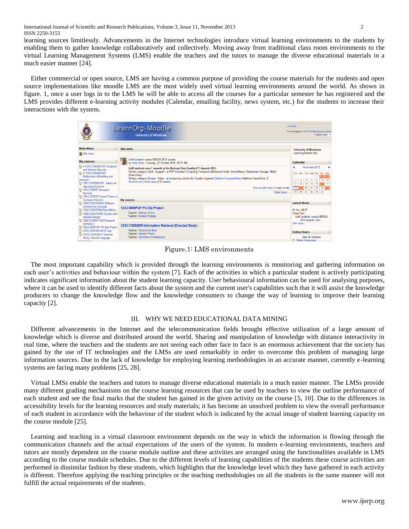International Journal of Scientific and Research Publications, Volume 3, Issue 11, November 2013 2 ISSN 2250-3153

learning sources limitlessly. Advancements in the Internet technologies introduce virtual learning environments to the students by enabling them to gather knowledge collaboratively and collectively. Moving away from traditional class room environments to the virtual Learning Management Systems (LMS) enable the teachers and the tutors to manage the diverse educational materials in a much easier manner [24].

 Either commercial or open source, LMS are having a common purpose of providing the course materials for the students and open source implementations like moodle LMS are the most widely used virtual learning environments around the world. As shown in figure. 1, once a user logs in to the LMS he will be able to access all the courses for a particular semester he has registered and the LMS provides different e-learning activity modules (Calendar, emailing facility, news system, etc.) for the students to increase their interactions with the system.

|                                                                                                                                                                                                                                                                          | LearnOrg-Moodle<br><b>University of Moratuwa</b>                                                                                                                                                                                                                                                                                                                                                                                                              | LearnOrg<br>You are logged in as Thilina Ranbaduge (Logout)<br>English (en) $\blacktriangleright$                                                                                                                               |
|--------------------------------------------------------------------------------------------------------------------------------------------------------------------------------------------------------------------------------------------------------------------------|---------------------------------------------------------------------------------------------------------------------------------------------------------------------------------------------------------------------------------------------------------------------------------------------------------------------------------------------------------------------------------------------------------------------------------------------------------------|---------------------------------------------------------------------------------------------------------------------------------------------------------------------------------------------------------------------------------|
| E<br><b>Main Menu</b>                                                                                                                                                                                                                                                    | <b>Site news</b>                                                                                                                                                                                                                                                                                                                                                                                                                                              | <b>University of Moratuwa</b>                                                                                                                                                                                                   |
| <b>业 Site news</b>                                                                                                                                                                                                                                                       |                                                                                                                                                                                                                                                                                                                                                                                                                                                               | LearnOrg-Moodle Site                                                                                                                                                                                                            |
| $\Box$<br><b>My courses</b>                                                                                                                                                                                                                                              | UoM students sweep NBQSA 2012 awards<br>by Gihan Dias - Tuesday, 23 October 2012, 08:37 AM                                                                                                                                                                                                                                                                                                                                                                    | Calendar                                                                                                                                                                                                                        |
| 19 0-12S3 CS5404CNS Computer<br>and Network Security<br>19 0-12S3 CS5405PMA<br>Performance Modelling and<br>Analysis<br>** 12S1 CS5202AOS - Advanced<br><b>Operating Systems</b><br>12S1 CS5901 Research<br>Seminar<br>19 12S1 CS5912 Current Topics in                  | UoM students won 7 awards at the National Best Quality ICT Awards 2012.<br>Tertiary category Gold - Siyapath - a P2P Volunteer Computing Framework (Mohamed Nufail, Amila Manoj, Nadeeshani Hewage, Malith<br>Dhanushka)<br>Tertiary category Bronze - Vidas - an e-Learning solution for Visually Impaired (Chathuri Gunawardhana, Malshani Hasanthika, S.<br>Read the rest of this topic (112 words)<br>Discuss this topic (1 reply so far)<br>Older topics | November 2012<br>Sun Mon Tue Wed Thu Fri Sat<br>$\bullet$<br>$\overline{7}$<br>$\sim$<br>9<br>10<br>5<br>12 <sup>°</sup><br>13<br>14<br>15<br>18<br>17<br>11<br>21<br>22<br> 20 <br>$23 \t 24$<br>19<br>18<br>25 26 27 28 29 30 |
| <b>Computer Science</b><br>** 12S2 CS5212SWA Software                                                                                                                                                                                                                    | <b>My courses</b>                                                                                                                                                                                                                                                                                                                                                                                                                                             | <b>Latest News</b><br>$\vert - \vert$                                                                                                                                                                                           |
| <b>Architecture Concepts</b><br>12S2 CS5227DM Data Mining<br>19 12S2 CS5401SND System and<br>Network Design<br>12S2 CS5901 RS2 Research<br>Seminar 2<br>12 12S3 5999PGP PG Dip Project<br>12S3 CS5814LAW IT Law<br>to 12S3 CS5925NLP Directed<br>Study: Natural Language | 12S3 5999PGP PG Dip Project<br>Teacher: Shehan Perera<br>Teacher: Malaka Walpola                                                                                                                                                                                                                                                                                                                                                                              | 23 Oct. 08:37<br><b>Gihan Dias</b><br>UoM students sweep NBQSA<br>2012 awards more<br>Older topics                                                                                                                              |
|                                                                                                                                                                                                                                                                          | 12S3 CS5926IR Information Retrieval (Directed Study)<br>Teacher: Nisansa de Silva<br>Teacher: Shehan Perera<br>Teacher: Chinthana Wimalasuriya                                                                                                                                                                                                                                                                                                                | <b>Online Users</b><br>$\boxed{-}$<br>(last 30 minutes)<br><b>All Thillies Presidentials</b>                                                                                                                                    |

Figure.1: LMS environments

 The most important capability which is provided through the learning environments is monitoring and gathering information on each user's activities and behaviour within the system [7]. Each of the activities in which a particular student is actively participating indicates significant information about the student learning capacity. User behavioural information can be used for analysing purposes, where it can be used to identify different facts about the system and the current user's capabilities such that it will assist the knowledge producers to change the knowledge flow and the knowledge consumers to change the way of learning to improve their learning capacity [2].

#### III. WHY WE NEED EDUCATIONAL DATA MINING

 Different advancements in the Internet and the telecommunication fields brought effective utilization of a large amount of knowledge which is diverse and distributed around the world. Sharing and manipulation of knowledge with distance interactivity in real time, where the teachers and the students are not seeing each other face to face is an enormous achievement that the society has gained by the use of IT technologies and the LMSs are used remarkably in order to overcome this problem of managing large information sources. Due to the lack of knowledge for employing learning methodologies in an accurate manner, currently e-learning systems are facing many problems [25, 28].

 Virtual LMSs enable the teachers and tutors to manage diverse educational materials in a much easier manner. The LMSs provide many different grading mechanisms on the course learning resources that can be used by teachers to view the outline performance of each student and see the final marks that the student has gained in the given activity on the course [5, 10]. Due to the differences in accessibility levels for the learning resources and study materials; it has become an unsolved problem to view the overall performance of each student in accordance with the behaviour of the student which is indicated by the actual image of student learning capacity on the course module [25].

 Learning and teaching in a virtual classroom environment depends on the way in which the information is flowing through the communication channels and the actual expectations of the users of the system. In modern e-learning environments, teachers and tutors are mostly dependent on the course module outline and these activities are arranged using the functionalities available in LMS according to the course module schedules. Due to the different levels of learning capabilities of the students these course activities are performed in dissimilar fashion by these students, which highlights that the knowledge level which they have gathered in each activity is different. Therefore applying the teaching principles or the teaching methodologies on all the students in the same manner will not fulfill the actual requirements of the students.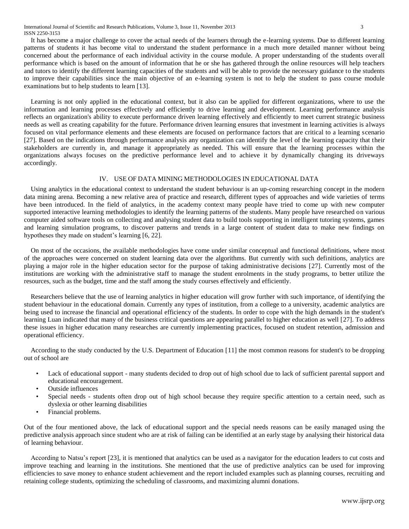International Journal of Scientific and Research Publications, Volume 3, Issue 11, November 2013 3 ISSN 2250-3153

 It has become a major challenge to cover the actual needs of the learners through the e-learning systems. Due to different learning patterns of students it has become vital to understand the student performance in a much more detailed manner without being concerned about the performance of each individual activity in the course module. A proper understanding of the students overall performance which is based on the amount of information that he or she has gathered through the online resources will help teachers and tutors to identify the different learning capacities of the students and will be able to provide the necessary guidance to the students to improve their capabilities since the main objective of an e-learning system is not to help the student to pass course module examinations but to help students to learn [13].

 Learning is not only applied in the educational context, but it also can be applied for different organizations, where to use the information and learning processes effectively and efficiently to drive learning and development. Learning performance analysis reflects an organization's ability to execute performance driven learning effectively and efficiently to meet current strategic business needs as well as creating capability for the future. Performance driven learning ensures that investment in learning activities is always focused on vital performance elements and these elements are focused on performance factors that are critical to a learning scenario [27]. Based on the indications through performance analysis any organization can identify the level of the learning capacity that their stakeholders are currently in, and manage it appropriately as needed. This will ensure that the learning processes within the organizations always focuses on the predictive performance level and to achieve it by dynamically changing its driveways accordingly.

## IV. USE OF DATA MINING METHODOLOGIES IN EDUCATIONAL DATA

 Using analytics in the educational context to understand the student behaviour is an up-coming researching concept in the modern data mining arena. Becoming a new relative area of practice and research, different types of approaches and wide varieties of terms have been introduced. In the field of analytics, in the academy context many people have tried to come up with new computer supported interactive learning methodologies to identify the learning patterns of the students. Many people have researched on various computer aided software tools on collecting and analysing student data to build tools supporting in intelligent tutoring systems, games and learning simulation programs, to discover patterns and trends in a large content of student data to make new findings on hypotheses they made on student's learning [6, 22].

 On most of the occasions, the available methodologies have come under similar conceptual and functional definitions, where most of the approaches were concerned on student learning data over the algorithms. But currently with such definitions, analytics are playing a major role in the higher education sector for the purpose of taking administrative decisions [27]. Currently most of the institutions are working with the administrative staff to manage the student enrolments in the study programs, to better utilize the resources, such as the budget, time and the staff among the study courses effectively and efficiently.

 Researchers believe that the use of learning analytics in higher education will grow further with such importance, of identifying the student behaviour in the educational domain. Currently any types of institution, from a college to a university, academic analytics are being used to increase the financial and operational efficiency of the students. In order to cope with the high demands in the student's learning Luan indicated that many of the business critical questions are appearing parallel to higher education as well [27]. To address these issues in higher education many researches are currently implementing practices, focused on student retention, admission and operational efficiency.

 According to the study conducted by the U.S. Department of Education [11] the most common reasons for student's to be dropping out of school are

- Lack of educational support many students decided to drop out of high school due to lack of sufficient parental support and educational encouragement.
- Outside influences
- Special needs students often drop out of high school because they require specific attention to a certain need, such as dyslexia or other learning disabilities
- Financial problems.

Out of the four mentioned above, the lack of educational support and the special needs reasons can be easily managed using the predictive analysis approach since student who are at risk of failing can be identified at an early stage by analysing their historical data of learning behaviour.

 According to Natsu's report [23], it is mentioned that analytics can be used as a navigator for the education leaders to cut costs and improve teaching and learning in the institutions. She mentioned that the use of predictive analytics can be used for improving efficiencies to save money to enhance student achievement and the report included examples such as planning courses, recruiting and retaining college students, optimizing the scheduling of classrooms, and maximizing alumni donations.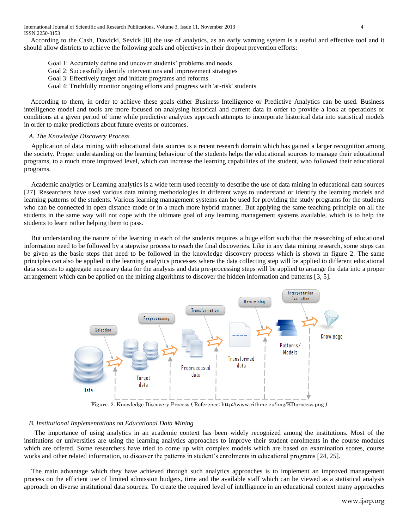According to the Cash, Dawicki, Sevick [8] the use of analytics, as an early warning system is a useful and effective tool and it should allow districts to achieve the following goals and objectives in their dropout prevention efforts:

- Goal 1: Accurately define and uncover students' problems and needs
- Goal 2: Successfully identify interventions and improvement strategies
- Goal 3: Effectively target and initiate programs and reforms
- Goal 4: Truthfully monitor ongoing efforts and progress with 'at-risk' students

 According to them, in order to achieve these goals either Business Intelligence or Predictive Analytics can be used. Business intelligence model and tools are more focused on analysing historical and current data in order to provide a look at operations or conditions at a given period of time while predictive analytics approach attempts to incorporate historical data into statistical models in order to make predictions about future events or outcomes.

# *A. The Knowledge Discovery Process*

Application of data mining with educational data sources is a recent research domain which has gained a larger recognition among the society. Proper understanding on the learning behaviour of the students helps the educational sources to manage their educational programs, to a much more improved level, which can increase the learning capabilities of the student, who followed their educational programs.

Academic analytics or Learning analytics is a wide term used recently to describe the use of data mining in educational data sources [27]. Researchers have used various data mining methodologies in different ways to understand or identify the learning models and learning patterns of the students. Various learning management systems can be used for providing the study programs for the students who can be connected in open distance mode or in a much more hybrid manner. But applying the same teaching principle on all the students in the same way will not cope with the ultimate goal of any learning management systems available, which is to help the students to learn rather helping them to pass.

But understanding the nature of the learning in each of the students requires a huge effort such that the researching of educational information need to be followed by a stepwise process to reach the final discoveries. Like in any data mining research, some steps can be given as the basic steps that need to be followed in the knowledge discovery process which is shown in figure 2. The same principles can also be applied in the learning analytics processes where the data collecting step will be applied to different educational data sources to aggregate necessary data for the analysis and data pre-processing steps will be applied to arrange the data into a proper arrangement which can be applied on the mining algorithms to discover the hidden information and patterns [3, 5].



Figure. 2. Knowledge Discovery Process ( Reference: http://www.rithme.eu/img/KDprocess.png )

### *B. Institutional Implementations on Educational Data Mining*

 The importance of using analytics in an academic context has been widely recognized among the institutions. Most of the institutions or universities are using the learning analytics approaches to improve their student enrolments in the course modules which are offered. Some researchers have tried to come up with complex models which are based on examination scores, course works and other related information, to discover the patterns in student's enrolments in educational programs [24, 25].

The main advantage which they have achieved through such analytics approaches is to implement an improved management process on the efficient use of limited admission budgets, time and the available staff which can be viewed as a statistical analysis approach on diverse institutional data sources. To create the required level of intelligence in an educational context many approaches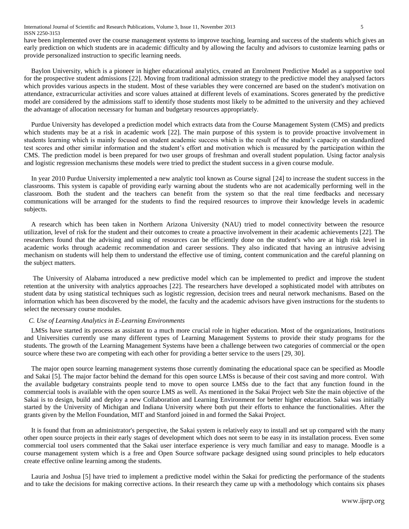have been implemented over the course management systems to improve teaching, learning and success of the students which gives an early prediction on which students are in academic difficulty and by allowing the faculty and advisors to customize learning paths or provide personalized instruction to specific learning needs.

Baylon University, which is a pioneer in higher educational analytics, created an Enrolment Predictive Model as a supportive tool for the prospective student admissions [22]. Moving from traditional admission strategy to the predictive model they analysed factors which provides various aspects in the student. Most of these variables they were concerned are based on the student's motivation on attendance, extracurricular activities and score values attained at different levels of examinations. Scores generated by the predictive model are considered by the admissions staff to identify those students most likely to be admitted to the university and they achieved the advantage of allocation necessary for human and budgetary resources appropriately.

Purdue University has developed a prediction model which extracts data from the Course Management System (CMS) and predicts which students may be at a risk in academic work [22]. The main purpose of this system is to provide proactive involvement in students learning which is mainly focused on student academic success which is the result of the student's capacity on standardized test scores and other similar information and the student's effort and motivation which is measured by the participation within the CMS. The prediction model is been prepared for two user groups of freshman and overall student population. Using factor analysis and logistic regression mechanisms these models were tried to predict the student success in a given course module.

In year 2010 Purdue University implemented a new analytic tool known as Course signal [24] to increase the student success in the classrooms. This system is capable of providing early warning about the students who are not academically performing well in the classroom. Both the student and the teachers can benefit from the system so that the real time feedbacks and necessary communications will be arranged for the students to find the required resources to improve their knowledge levels in academic subjects.

A research which has been taken in Northern Arizona University (NAU) tried to model connectivity between the resource utilization, level of risk for the student and their outcomes to create a proactive involvement in their academic achievements [22]. The researchers found that the advising and using of resources can be efficiently done on the student's who are at high risk level in academic works through academic recommendation and career sessions. They also indicated that having an intrusive advising mechanism on students will help them to understand the effective use of timing, content communication and the careful planning on the subject matters.

The University of Alabama introduced a new predictive model which can be implemented to predict and improve the student retention at the university with analytics approaches [22]. The researchers have developed a sophisticated model with attributes on student data by using statistical techniques such as logistic regression, decision trees and neural network mechanisms. Based on the information which has been discovered by the model, the faculty and the academic advisors have given instructions for the students to select the necessary course modules.

# *C. Use of Learning Analytics in E-Learning Environments*

LMSs have started its process as assistant to a much more crucial role in higher education. Most of the organizations, Institutions and Universities currently use many different types of Learning Management Systems to provide their study programs for the students. The growth of the Learning Management Systems have been a challenge between two categories of commercial or the open source where these two are competing with each other for providing a better service to the users [29, 30].

The major open source learning management systems those currently dominating the educational space can be specified as Moodle and Sakai [5]. The major factor behind the demand for this open source LMSs is because of their cost saving and more control. With the available budgetary constraints people tend to move to open source LMSs due to the fact that any function found in the commercial tools is available with the open source LMS as well. As mentioned in the Sakai Project web Site the main objective of the Sakai is to design, build and deploy a new Collaboration and Learning Environment for better higher education. Sakai was initially started by the University of Michigan and Indiana University where both put their efforts to enhance the functionalities. After the grants given by the Mellon Foundation, MIT and Stanford joined in and formed the Sakai Project.

It is found that from an administrator's perspective, the Sakai system is relatively easy to install and set up compared with the many other open source projects in their early stages of development which does not seem to be easy in its installation process. Even some commercial tool users commented that the Sakai user interface experience is very much familiar and easy to manage. Moodle is a course management system which is a free and Open Source software package designed using sound principles to help educators create effective online learning among the students.

Lauria and Joshua [5] have tried to implement a predictive model within the Sakai for predicting the performance of the students and to take the decisions for making corrective actions. In their research they came up with a methodology which contains six phases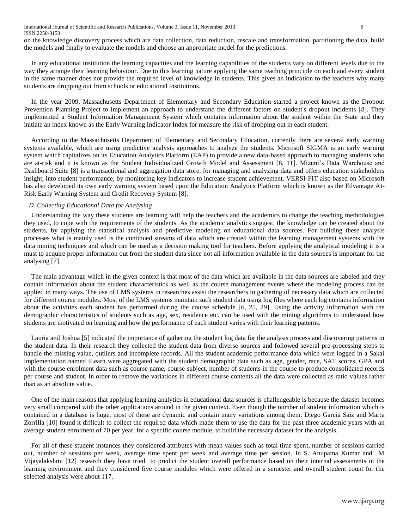International Journal of Scientific and Research Publications, Volume 3, Issue 11, November 2013 6 ISSN 2250-3153

on the knowledge discovery process which are data collection, data reduction, rescale and transformation, partitioning the data, build the models and finally to evaluate the models and choose an appropriate model for the predictions.

In any educational institution the learning capacities and the learning capabilities of the students vary on different levels due to the way they arrange their learning behaviour. Due to this learning nature applying the same teaching principle on each and every student in the same manner does not provide the required level of knowledge in students. This gives an indication to the teachers why many students are dropping out from schools or educational institutions.

In the year 2009, Massachusetts Department of Elementary and Secondary Education started a project known as the Dropout Prevention Planning Project to implement an approach to understand the different factors on student's dropout incidents [8]. They implemented a Student Information Management System which contains information about the student within the State and they initiate an index known as the Early Warning Indicator Index for measure the risk of dropping out in each student.

According to the Massachusetts Department of Elementary and Secondary Education, currently there are several early warning systems available, which are using predictive analysis approaches to analyze the students. Microsoft SIGMA is an early warning system which capitalizes on its Education Analytics Platform (EAP) to provide a new data-based approach to managing students who are at-risk and it is known as the Student Individualized Growth Model and Assessment [8, 11]. Mizuni's Data Warehouse and Dashboard Suite [8] is a transactional and aggregation data store, for managing and analyzing data and offers education stakeholders insight, into student performance, by monitoring key indicators to increase student achievement. VERSI-FIT also based on Microsoft has also developed its own early warning system based upon the Education Analytics Platform which is known as the Edvantage At-Risk Early Warning System and Credit Recovery System [8].

## *D. Collecting Educational Data for Analysing*

Understanding the way these students are learning will help the teachers and the academics to change the teaching methodologies they used, to cope with the requirements of the students. As the academic analytics suggest, the knowledge can be created about the students, by applying the statistical analysis and predictive modeling on educational data sources. For building these analysis processes what is mainly used is the continued streams of data which are created within the learning management systems with the data mining techniques and which can be used as a decision making tool for teachers. Before applying the analytical modeling it is a must to acquire proper information out from the student data since not all information available in the data sources is important for the analysing [7].

The main advantage which in the given context is that most of the data which are available in the data sources are labeled and they contain information about the student characteristics as well as the course management events where the modeling process can be applied in many ways. The use of LMS systems in researches assist the researchers in gathering of necessary data which are collected for different course modules. Most of the LMS systems maintain such student data using log files where each log contains information about the activities each student has performed during the course schedule [6, 25, 29]. Using the activity information with the demographic characteristics of students such as age, sex, residence etc. can be used with the mining algorithms to understand how students are motivated on learning and how the performance of each student varies with their learning patterns.

Lauria and Joshua [5] indicated the importance of gathering the student log data for the analysis process and discovering patterns in the student data. In their research they collected the student data from diverse sources and followed several pre-processing steps to handle the missing value, outliers and incomplete records. All the student academic performance data which were logged in a Sakai implementation named iLearn were aggregated with the student demographic data such as age, gender, race, SAT scores, GPA and with the course enrolment data such as course name, course subject, number of students in the course to produce consolidated records per course and student. In order to remove the variations in different course contents all the data were collected as ratio values rather than as an absolute value.

One of the main reasons that applying learning analytics in educational data sources is challengeable is because the dataset becomes very small compared with the other applications around in the given context. Even though the number of student information which is contained in a database is huge, most of these are dynamic and contain many variations among them. Diego Garcia Saiz and Marta Zorrilla [10] found it difficult to collect the required data which made them to use the data for the past three academic years with an average student enrolment of 70 per year, for a specific course module, to build the necessary dataset for the analysis.

For all of these student instances they considered attributes with mean values such as total time spent, number of sessions carried out, number of sessions per week, average time spent per week and average time per session. In S. Anupama Kumar and M Vijayalakshmi [12] research they have tried to predict the student overall performance based on their internal assessments in the learning environment and they considered five course modules which were offered in a semester and overall student count for the selected analysis were about 117.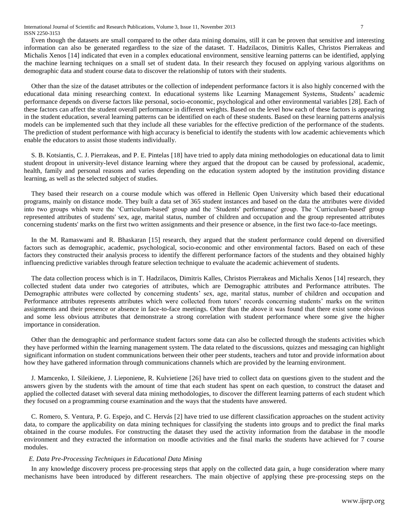International Journal of Scientific and Research Publications, Volume 3, Issue 11, November 2013 7 ISSN 2250-3153

Even though the datasets are small compared to the other data mining domains, still it can be proven that sensitive and interesting information can also be generated regardless to the size of the dataset. T. Hadzilacos, Dimitris Kalles, Christos Pierrakeas and Michalis Xenos [14] indicated that even in a complex educational environment, sensitive learning patterns can be identified, applying the machine learning techniques on a small set of student data. In their research they focused on applying various algorithms on demographic data and student course data to discover the relationship of tutors with their students.

Other than the size of the dataset attributes or the collection of independent performance factors it is also highly concerned with the educational data mining researching context. In educational systems like Learning Management Systems, Students' academic performance depends on diverse factors like personal, socio-economic, psychological and other environmental variables [28]. Each of these factors can affect the student overall performance in different weights. Based on the level how each of these factors is appearing in the student education, several learning patterns can be identified on each of these students. Based on these learning patterns analysis models can be implemented such that they include all these variables for the effective prediction of the performance of the students. The prediction of student performance with high accuracy is beneficial to identify the students with low academic achievements which enable the educators to assist those students individually.

S. B. Kotsiantis, C. J. Pierrakeas, and P. E. Pintelas [18] have tried to apply data mining methodologies on educational data to limit student dropout in university-level distance learning where they argued that the dropout can be caused by professional, academic, health, family and personal reasons and varies depending on the education system adopted by the institution providing distance learning, as well as the selected subject of studies.

They based their research on a course module which was offered in Hellenic Open University which based their educational programs, mainly on distance mode. They built a data set of 365 student instances and based on the data the attributes were divided into two groups which were the 'Curriculum-based' group and the 'Students' performance' group. The 'Curriculum-based' group represented attributes of students' sex, age, marital status, number of children and occupation and the group represented attributes concerning students' marks on the first two written assignments and their presence or absence, in the first two face-to-face meetings.

In the M. Ramaswami and R. Bhaskaran [15] research, they argued that the student performance could depend on diversified factors such as demographic, academic, psychological, socio-economic and other environmental factors. Based on each of these factors they constructed their analysis process to identify the different performance factors of the students and they obtained highly influencing predictive variables through feature selection technique to evaluate the academic achievement of students.

The data collection process which is in T. Hadzilacos, Dimitris Kalles, Christos Pierrakeas and Michalis Xenos [14] research, they collected student data under two categories of attributes, which are Demographic attributes and Performance attributes. The Demographic attributes were collected by concerning students' sex, age, marital status, number of children and occupation and Performance attributes represents attributes which were collected from tutors' records concerning students' marks on the written assignments and their presence or absence in face-to-face meetings. Other than the above it was found that there exist some obvious and some less obvious attributes that demonstrate a strong correlation with student performance where some give the higher importance in consideration.

Other than the demographic and performance student factors some data can also be collected through the students activities which they have performed within the learning management system. The data related to the discussions, quizzes and messaging can highlight significant information on student communications between their other peer students, teachers and tutor and provide information about how they have gathered information through communications channels which are provided by the learning environment.

J. Mamcenko, I. Sileikiene, J. Lieponiene, R. Kulvietiene [26] have tried to collect data on questions given to the student and the answers given by the students with the amount of time that each student has spent on each question, to construct the dataset and applied the collected dataset with several data mining methodologies, to discover the different learning patterns of each student which they focused on a programming course examination and the ways that the students have answered.

C. Romero, S. Ventura, P. G. Espejo, and C. Hervás [2] have tried to use different classification approaches on the student activity data, to compare the applicability on data mining techniques for classifying the students into groups and to predict the final marks obtained in the course modules. For constructing the dataset they used the activity information from the database in the moodle environment and they extracted the information on moodle activities and the final marks the students have achieved for 7 course modules.

## *E. Data Pre-Processing Techniques in Educational Data Mining*

In any knowledge discovery process pre-processing steps that apply on the collected data gain, a huge consideration where many mechanisms have been introduced by different researchers. The main objective of applying these pre-processing steps on the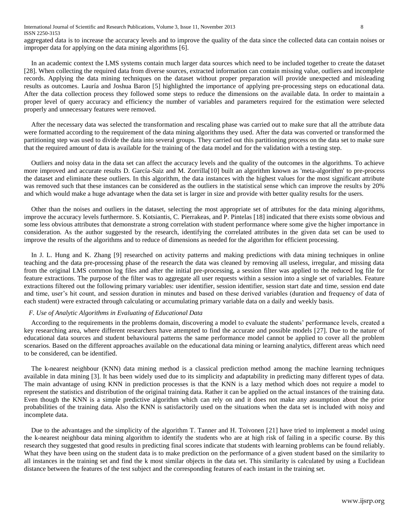aggregated data is to increase the accuracy levels and to improve the quality of the data since the collected data can contain noises or improper data for applying on the data mining algorithms [6].

In an academic context the LMS systems contain much larger data sources which need to be included together to create the dataset [28]. When collecting the required data from diverse sources, extracted information can contain missing value, outliers and incomplete records. Applying the data mining techniques on the dataset without proper preparation will provide unexpected and misleading results as outcomes. Lauría and Joshua Baron [5] highlighted the importance of applying pre-processing steps on educational data. After the data collection process they followed some steps to reduce the dimensions on the available data. In order to maintain a proper level of query accuracy and efficiency the number of variables and parameters required for the estimation were selected properly and unnecessary features were removed.

After the necessary data was selected the transformation and rescaling phase was carried out to make sure that all the attribute data were formatted according to the requirement of the data mining algorithms they used. After the data was converted or transformed the partitioning step was used to divide the data into several groups. They carried out this partitioning process on the data set to make sure that the required amount of data is available for the training of the data model and for the validation with a testing step.

Outliers and noisy data in the data set can affect the accuracy levels and the quality of the outcomes in the algorithms. To achieve more improved and accurate results D. García-Saiz and M. Zorrilla[10] built an algorithm known as 'meta-algorithm' to pre-process the dataset and eliminate these outliers. In this algorithm, the data instances with the highest values for the most significant attribute was removed such that these instances can be considered as the outliers in the statistical sense which can improve the results by 20% and which would make a huge advantage when the data set is larger in size and provide with better quality results for the users.

Other than the noises and outliers in the dataset, selecting the most appropriate set of attributes for the data mining algorithms, improve the accuracy levels furthermore. S. Kotsiantis, C. Pierrakeas, and P. Pintelas [18] indicated that there exists some obvious and some less obvious attributes that demonstrate a strong correlation with student performance where some give the higher importance in consideration. As the author suggested by the research, identifying the correlated attributes in the given data set can be used to improve the results of the algorithms and to reduce of dimensions as needed for the algorithm for efficient processing.

In J. L. Hung and K. Zhang [9] researched on activity patterns and making predictions with data mining techniques in online teaching and the data pre-processing phase of the research the data was cleaned by removing all useless, irregular, and missing data from the original LMS common log files and after the initial pre-processing, a session filter was applied to the reduced log file for feature extractions. The purpose of the filter was to aggregate all user requests within a session into a single set of variables. Feature extractions filtered out the following primary variables: user identifier, session identifier, session start date and time, session end date and time, user's hit count, and session duration in minutes and based on these derived variables (duration and frequency of data of each student) were extracted through calculating or accumulating primary variable data on a daily and weekly basis.

# *F. Use of Analytic Algorithms in Evaluating of Educational Data*

According to the requirements in the problems domain, discovering a model to evaluate the students' performance levels, created a key researching area, where different researchers have attempted to find the accurate and possible models [27]. Due to the nature of educational data sources and student behavioural patterns the same performance model cannot be applied to cover all the problem scenarios. Based on the different approaches available on the educational data mining or learning analytics, different areas which need to be considered, can be identified.

The k-nearest neighbour (KNN) data mining method is a classical prediction method among the machine learning techniques available in data mining [3]. It has been widely used due to its simplicity and adaptability in predicting many different types of data. The main advantage of using KNN in prediction processes is that the KNN is a lazy method which does not require a model to represent the statistics and distribution of the original training data. Rather it can be applied on the actual instances of the training data. Even though the KNN is a simple predictive algorithm which can rely on and it does not make any assumption about the prior probabilities of the training data. Also the KNN is satisfactorily used on the situations when the data set is included with noisy and incomplete data.

Due to the advantages and the simplicity of the algorithm T. Tanner and H. Toivonen [21] have tried to implement a model using the k-nearest neighbour data mining algorithm to identify the students who are at high risk of failing in a specific course. By this research they suggested that good results in predicting final scores indicate that students with learning problems can be found reliably. What they have been using on the student data is to make prediction on the performance of a given student based on the similarity to all instances in the training set and find the k most similar objects in the data set. This similarity is calculated by using a Euclidean distance between the features of the test subject and the corresponding features of each instant in the training set.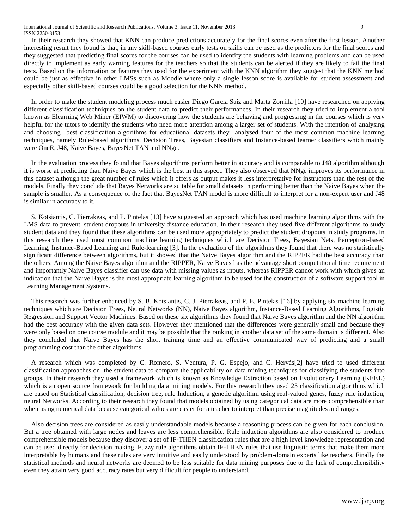International Journal of Scientific and Research Publications, Volume 3, Issue 11, November 2013 9 ISSN 2250-3153

In their research they showed that KNN can produce predictions accurately for the final scores even after the first lesson. Another interesting result they found is that, in any skill-based courses early tests on skills can be used as the predictors for the final scores and they suggested that predicting final scores for the courses can be used to identify the students with learning problems and can be used directly to implement as early warning features for the teachers so that the students can be alerted if they are likely to fail the final tests. Based on the information or features they used for the experiment with the KNN algorithm they suggest that the KNN method could be just as effective in other LMSs such as Moodle where only a single lesson score is available for student assessment and especially other skill-based courses could be a good selection for the KNN method.

In order to make the student modeling process much easier Diego Garcia Saiz and Marta Zorrilla [10] have researched on applying different classification techniques on the student data to predict their performances. In their research they tried to implement a tool known as Elearning Web Miner (EIWM) to discovering how the students are behaving and progressing in the courses which is very helpful for the tutors to identify the students who need more attention among a larger set of students. With the intention of analysing and choosing best classification algorithms for educational datasets they analysed four of the most common machine learning techniques, namely Rule-based algorithms, Decision Trees, Bayesian classifiers and Instance-based learner classifiers which mainly were OneR, J48, Naive Bayes, BayesNet TAN and NNge.

In the evaluation process they found that Bayes algorithms perform better in accuracy and is comparable to J48 algorithm although it is worse at predicting than Naive Bayes which is the best in this aspect. They also observed that NNge improves its performance in this dataset although the great number of rules which it offers as output makes it less interpretative for instructors than the rest of the models. Finally they conclude that Bayes Networks are suitable for small datasets in performing better than the Naive Bayes when the sample is smaller. As a consequence of the fact that BayesNet TAN model is more difficult to interpret for a non-expert user and J48 is similar in accuracy to it.

S. Kotsiantis, C. Pierrakeas, and P. Pintelas [13] have suggested an approach which has used machine learning algorithms with the LMS data to prevent, student dropouts in university distance education. In their research they used five different algorithms to study student data and they found that these algorithms can be used more appropriately to predict the student dropouts in study programs. In this research they used most common machine learning techniques which are Decision Trees, Bayesian Nets, Perceptron-based Learning, Instance-Based Learning and Rule-learning [3]. In the evaluation of the algorithms they found that there was no statistically significant difference between algorithms, but it showed that the Naive Bayes algorithm and the RIPPER had the best accuracy than the others. Among the Naive Bayes algorithm and the RIPPER, Naive Bayes has the advantage short computational time requirement and importantly Naive Bayes classifier can use data with missing values as inputs, whereas RIPPER cannot work with which gives an indication that the Naive Bayes is the most appropriate learning algorithm to be used for the construction of a software support tool in Learning Management Systems.

This research was further enhanced by S. B. Kotsiantis, C. J. Pierrakeas, and P. E. Pintelas [16] by applying six machine learning techniques which are Decision Trees, Neural Networks (NN), Naive Bayes algorithm, Instance-Based Learning Algorithms, Logistic Regression and Support Vector Machines. Based on these six algorithms they found that Naive Bayes algorithm and the NN algorithm had the best accuracy with the given data sets. However they mentioned that the differences were generally small and because they were only based on one course module and it may be possible that the ranking in another data set of the same domain is different. Also they concluded that Naive Bayes has the short training time and an effective communicated way of predicting and a small programming cost than the other algorithms.

A research which was completed by C. Romero, S. Ventura, P. G. Espejo, and C. Hervás[2] have tried to used different classification approaches on the student data to compare the applicability on data mining techniques for classifying the students into groups. In their research they used a framework which is known as Knowledge Extraction based on Evolutionary Learning (KEEL) which is an open source framework for building data mining models. For this research they used 25 classification algorithms which are based on Statistical classification, decision tree, rule Induction, a genetic algorithm using real-valued genes, fuzzy rule induction, neural Networks. According to their research they found that models obtained by using categorical data are more comprehensible than when using numerical data because categorical values are easier for a teacher to interpret than precise magnitudes and ranges.

Also decision trees are considered as easily understandable models because a reasoning process can be given for each conclusion. But a tree obtained with large nodes and leaves are less comprehensible. Rule induction algorithms are also considered to produce comprehensible models because they discover a set of IF-THEN classification rules that are a high level knowledge representation and can be used directly for decision making. Fuzzy rule algorithms obtain IF-THEN rules that use linguistic terms that make them more interpretable by humans and these rules are very intuitive and easily understood by problem-domain experts like teachers. Finally the statistical methods and neural networks are deemed to be less suitable for data mining purposes due to the lack of comprehensibility even they attain very good accuracy rates but very difficult for people to understand.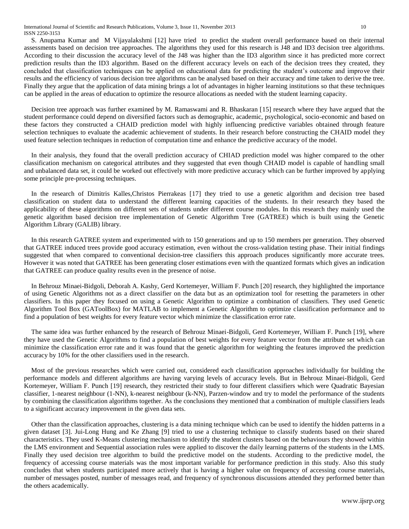S. Anupama Kumar and M Vijayalakshmi [12] have tried to predict the student overall performance based on their internal assessments based on decision tree approaches. The algorithms they used for this research is J48 and ID3 decision tree algorithms. According to their discussion the accuracy level of the J48 was higher than the ID3 algorithm since it has predicted more correct prediction results than the ID3 algorithm. Based on the different accuracy levels on each of the decision trees they created, they concluded that classification techniques can be applied on educational data for predicting the student's outcome and improve their results and the efficiency of various decision tree algorithms can be analysed based on their accuracy and time taken to derive the tree. Finally they argue that the application of data mining brings a lot of advantages in higher learning institutions so that these techniques can be applied in the areas of education to optimize the resource allocations as needed with the student learning capacity.

Decision tree approach was further examined by M. Ramaswami and R. Bhaskaran [15] research where they have argued that the student performance could depend on diversified factors such as demographic, academic, psychological, socio-economic and based on these factors they constructed a CHAID prediction model with highly influencing predictive variables obtained through feature selection techniques to evaluate the academic achievement of students. In their research before constructing the CHAID model they used feature selection techniques in reduction of computation time and enhance the predictive accuracy of the model.

In their analysis, they found that the overall prediction accuracy of CHIAD prediction model was higher compared to the other classification mechanism on categorical attributes and they suggested that even though CHAID model is capable of handling small and unbalanced data set, it could be worked out effectively with more predictive accuracy which can be further improved by applying some principle pre-processing techniques.

In the research of Dimitris Kalles,Christos Pierrakeas [17] they tried to use a genetic algorithm and decision tree based classification on student data to understand the different learning capacities of the students. In their research they based the applicability of these algorithms on different sets of students under different course modules. In this research they mainly used the genetic algorithm based decision tree implementation of Genetic Algorithm Tree (GATREE) which is built using the Genetic Algorithm Library (GALIB) library.

In this research GATREE system and experimented with to 150 generations and up to 150 members per generation. They observed that GATREE induced trees provide good accuracy estimation, even without the cross-validation testing phase. Their initial findings suggested that when compared to conventional decision-tree classifiers this approach produces significantly more accurate trees. However it was noted that GATREE has been generating closer estimations even with the quantized formats which gives an indication that GATREE can produce quality results even in the presence of noise.

In Behrouz Minaei-Bidgoli, Deborah A. Kashy, Gerd Kortemeyer, William F. Punch [20] research, they highlighted the importance of using Genetic Algorithms not as a direct classifier on the data but as an optimization tool for resetting the parameters in other classifiers. In this paper they focused on using a Genetic Algorithm to optimize a combination of classifiers. They used Genetic Algorithm Tool Box (GAToolBox) for MATLAB to implement a Genetic Algorithm to optimize classification performance and to find a population of best weights for every feature vector which minimize the classification error rate.

The same idea was further enhanced by the research of Behrouz Minaei-Bidgoli, Gerd Kortemeyer, William F. Punch [19], where they have used the Genetic Algorithms to find a population of best weights for every feature vector from the attribute set which can minimize the classification error rate and it was found that the genetic algorithm for weighting the features improved the prediction accuracy by 10% for the other classifiers used in the research.

Most of the previous researches which were carried out, considered each classification approaches individually for building the performance models and different algorithms are having varying levels of accuracy levels. But in Behrouz Minaei-Bidgoli, Gerd Kortemeyer, William F. Punch [19] research, they restricted their study to four different classifiers which were Quadratic Bayesian classifier, 1-nearest neighbour (1-NN), k-nearest neighbour (k-NN), Parzen-window and try to model the performance of the students by combining the classification algorithms together. As the conclusions they mentioned that a combination of multiple classifiers leads to a significant accuracy improvement in the given data sets.

Other than the classification approaches, clustering is a data mining technique which can be used to identify the hidden patterns in a given dataset [3]. Jui-Long Hung and Ke Zhang [9] tried to use a clustering technique to classify students based on their shared characteristics. They used K-Means clustering mechanism to identify the student clusters based on the behaviours they showed within the LMS environment and Sequential association rules were applied to discover the daily learning patterns of the students in the LMS. Finally they used decision tree algorithm to build the predictive model on the students. According to the predictive model, the frequency of accessing course materials was the most important variable for performance prediction in this study. Also this study concludes that when students participated more actively that is having a higher value on frequency of accessing course materials, number of messages posted, number of messages read, and frequency of synchronous discussions attended they performed better than the others academically.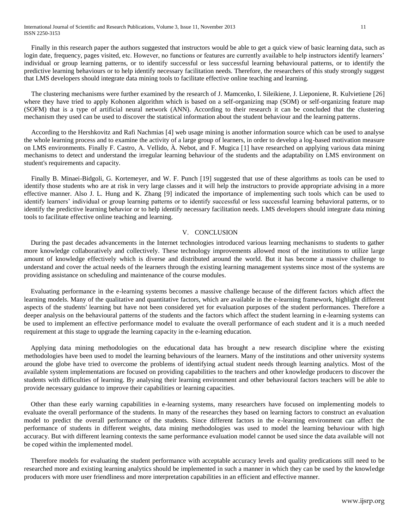International Journal of Scientific and Research Publications, Volume 3, Issue 11, November 2013 11 ISSN 2250-3153

Finally in this research paper the authors suggested that instructors would be able to get a quick view of basic learning data, such as login date, frequency, pages visited, etc. However, no functions or features are currently available to help instructors identify learners' individual or group learning patterns, or to identify successful or less successful learning behavioural patterns, or to identify the predictive learning behaviours or to help identify necessary facilitation needs. Therefore, the researchers of this study strongly suggest that LMS developers should integrate data mining tools to facilitate effective online teaching and learning.

The clustering mechanisms were further examined by the research of J. Mamcenko, I. Sileikiene, J. Lieponiene, R. Kulvietiene [26] where they have tried to apply Kohonen algorithm which is based on a self-organizing map (SOM) or self-organizing feature map (SOFM) that is a type of artificial neural network (ANN). According to their research it can be concluded that the clustering mechanism they used can be used to discover the statistical information about the student behaviour and the learning patterns.

According to the Hershkovitz and Rafi Nachmias [4] web usage mining is another information source which can be used to analyse the whole learning process and to examine the activity of a large group of learners, in order to develop a log-based motivation measure on LMS environments. Finally F. Castro, A. Vellido, À. Nebot, and F. Mugica [1] have researched on applying various data mining mechanisms to detect and understand the irregular learning behaviour of the students and the adaptability on LMS environment on student's requirements and capacity.

Finally B. Minaei-Bidgoli, G. Kortemeyer, and W. F. Punch [19] suggested that use of these algorithms as tools can be used to identify those students who are at risk in very large classes and it will help the instructors to provide appropriate advising in a more effective manner. Also J. L. Hung and K. Zhang [9] indicated the importance of implementing such tools which can be used to identify learners' individual or group learning patterns or to identify successful or less successful learning behavioral patterns, or to identify the predictive learning behavior or to help identify necessary facilitation needs. LMS developers should integrate data mining tools to facilitate effective online teaching and learning.

#### V. CONCLUSION

During the past decades advancements in the Internet technologies introduced various learning mechanisms to students to gather more knowledge collaboratively and collectively. These technology improvements allowed most of the institutions to utilize large amount of knowledge effectively which is diverse and distributed around the world. But it has become a massive challenge to understand and cover the actual needs of the learners through the existing learning management systems since most of the systems are providing assistance on scheduling and maintenance of the course modules.

Evaluating performance in the e-learning systems becomes a massive challenge because of the different factors which affect the learning models. Many of the qualitative and quantitative factors, which are available in the e-learning framework, highlight different aspects of the students' learning but have not been considered yet for evaluation purposes of the student performances. Therefore a deeper analysis on the behavioural patterns of the students and the factors which affect the student learning in e-learning systems can be used to implement an effective performance model to evaluate the overall performance of each student and it is a much needed requirement at this stage to upgrade the learning capacity in the e-learning education.

Applying data mining methodologies on the educational data has brought a new research discipline where the existing methodologies have been used to model the learning behaviours of the learners. Many of the institutions and other university systems around the globe have tried to overcome the problems of identifying actual student needs through learning analytics. Most of the available system implementations are focused on providing capabilities to the teachers and other knowledge producers to discover the students with difficulties of learning. By analysing their learning environment and other behavioural factors teachers will be able to provide necessary guidance to improve their capabilities or learning capacities.

Other than these early warning capabilities in e-learning systems, many researchers have focused on implementing models to evaluate the overall performance of the students. In many of the researches they based on learning factors to construct an evaluation model to predict the overall performance of the students. Since different factors in the e-learning environment can affect the performance of students in different weights, data mining methodologies was used to model the learning behaviour with high accuracy. But with different learning contexts the same performance evaluation model cannot be used since the data available will not be coped within the implemented model.

Therefore models for evaluating the student performance with acceptable accuracy levels and quality predications still need to be researched more and existing learning analytics should be implemented in such a manner in which they can be used by the knowledge producers with more user friendliness and more interpretation capabilities in an efficient and effective manner.